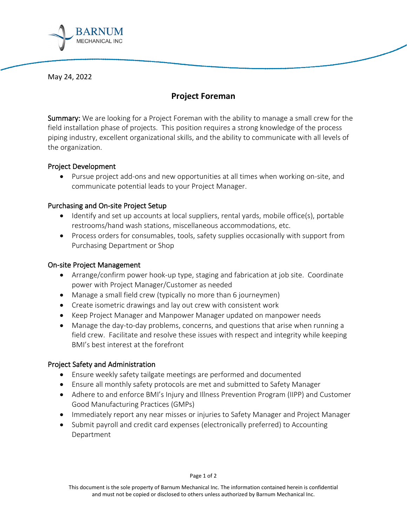

May 24, 2022

# **Project Foreman**

Summary: We are looking for a Project Foreman with the ability to manage a small crew for the field installation phase of projects. This position requires a strong knowledge of the process piping industry, excellent organizational skills, and the ability to communicate with all levels of the organization.

# Project Development

• Pursue project add-ons and new opportunities at all times when working on-site, and communicate potential leads to your Project Manager.

#### Purchasing and On-site Project Setup

- Identify and set up accounts at local suppliers, rental yards, mobile office(s), portable restrooms/hand wash stations, miscellaneous accommodations, etc.
- Process orders for consumables, tools, safety supplies occasionally with support from Purchasing Department or Shop

### On-site Project Management

- Arrange/confirm power hook-up type, staging and fabrication at job site. Coordinate power with Project Manager/Customer as needed
- Manage a small field crew (typically no more than 6 journeymen)
- Create isometric drawings and lay out crew with consistent work
- Keep Project Manager and Manpower Manager updated on manpower needs
- Manage the day-to-day problems, concerns, and questions that arise when running a field crew. Facilitate and resolve these issues with respect and integrity while keeping BMI's best interest at the forefront

# Project Safety and Administration

- Ensure weekly safety tailgate meetings are performed and documented
- Ensure all monthly safety protocols are met and submitted to Safety Manager
- Adhere to and enforce BMI's Injury and Illness Prevention Program (IIPP) and Customer Good Manufacturing Practices (GMPs)
- Immediately report any near misses or injuries to Safety Manager and Project Manager
- Submit payroll and credit card expenses (electronically preferred) to Accounting Department

This document is the sole property of Barnum Mechanical Inc. The information contained herein is confidential and must not be copied or disclosed to others unless authorized by Barnum Mechanical Inc.